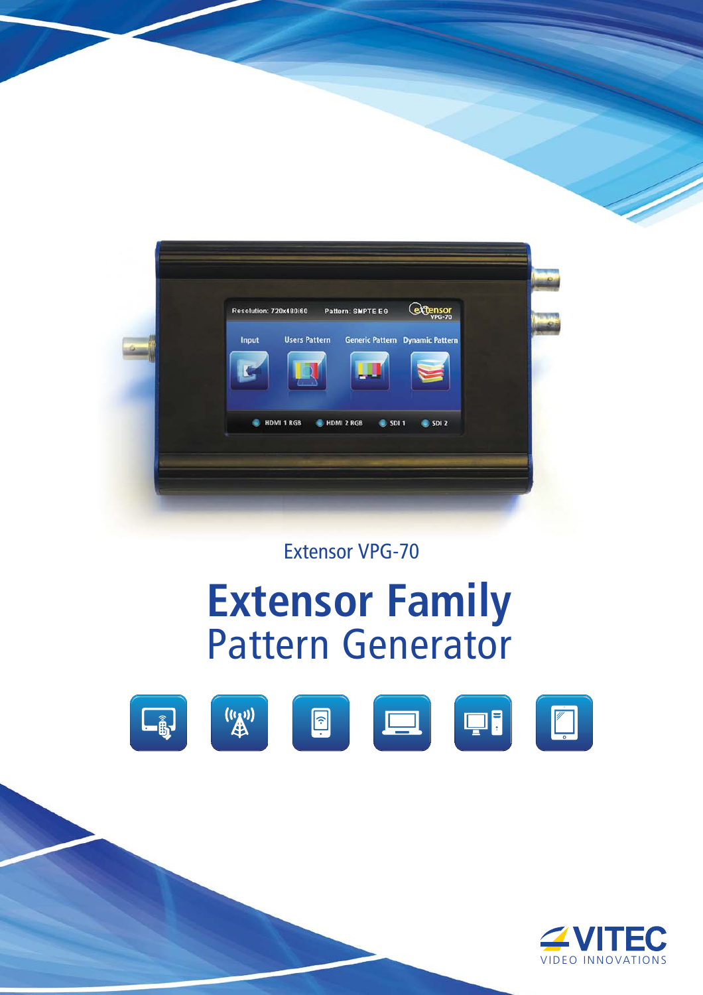

Extensor VPG-70

## **Extensor Family** Pattern Generator



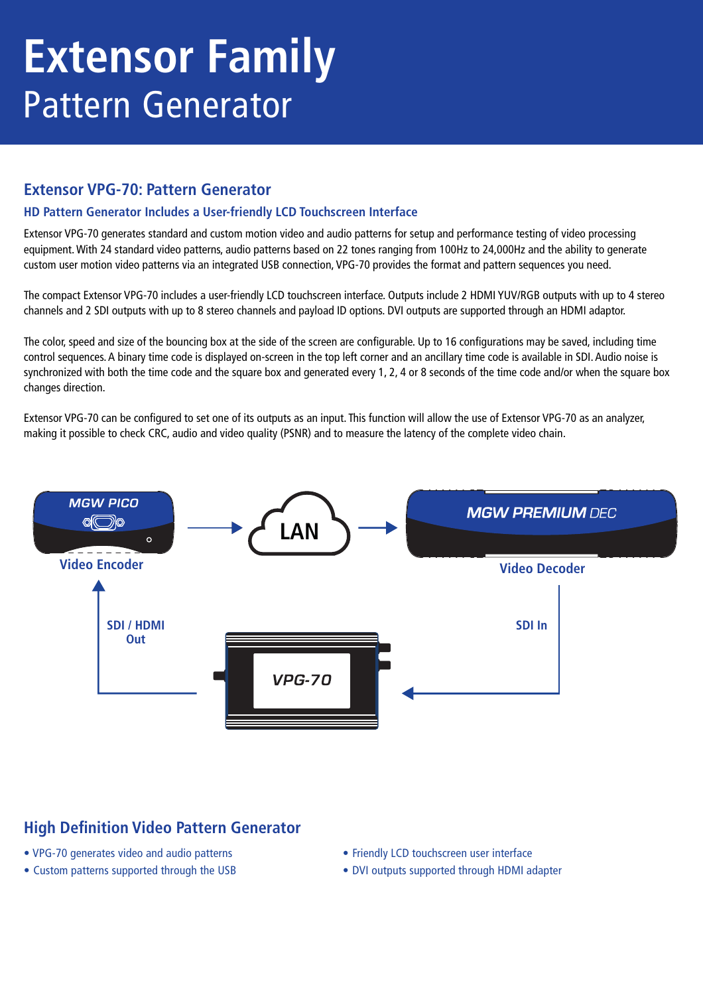# **Extensor Family** Pattern Generator

### **Extensor VPG-70: Pattern Generator**

### **HD Pattern Generator Includes a User-friendly LCD Touchscreen Interface**

Extensor VPG-70 generates standard and custom motion video and audio patterns for setup and performance testing of video processing equipment. With 24 standard video patterns, audio patterns based on 22 tones ranging from 100Hz to 24,000Hz and the ability to generate custom user motion video patterns via an integrated USB connection, VPG-70 provides the format and pattern sequences you need.

The compact Extensor VPG-70 includes a user-friendly LCD touchscreen interface. Outputs include 2 HDMI YUV/RGB outputs with up to 4 stereo channels and 2 SDI outputs with up to 8 stereo channels and payload ID options. DVI outputs are supported through an HDMI adaptor.

The color, speed and size of the bouncing box at the side of the screen are configurable. Up to 16 configurations may be saved, including time control sequences. A binary time code is displayed on-screen in the top left corner and an ancillary time code is available in SDI. Audio noise is synchronized with both the time code and the square box and generated every 1, 2, 4 or 8 seconds of the time code and/or when the square box changes direction.

Extensor VPG-70 can be configured to set one of its outputs as an input. This function will allow the use of Extensor VPG-70 as an analyzer, making it possible to check CRC, audio and video quality (PSNR) and to measure the latency of the complete video chain.



## **High Definition Video Pattern Generator**

- VPG-70 generates video and audio patterns
- Custom patterns supported through the USB
- Friendly LCD touchscreen user interface
- DVI outputs supported through HDMI adapter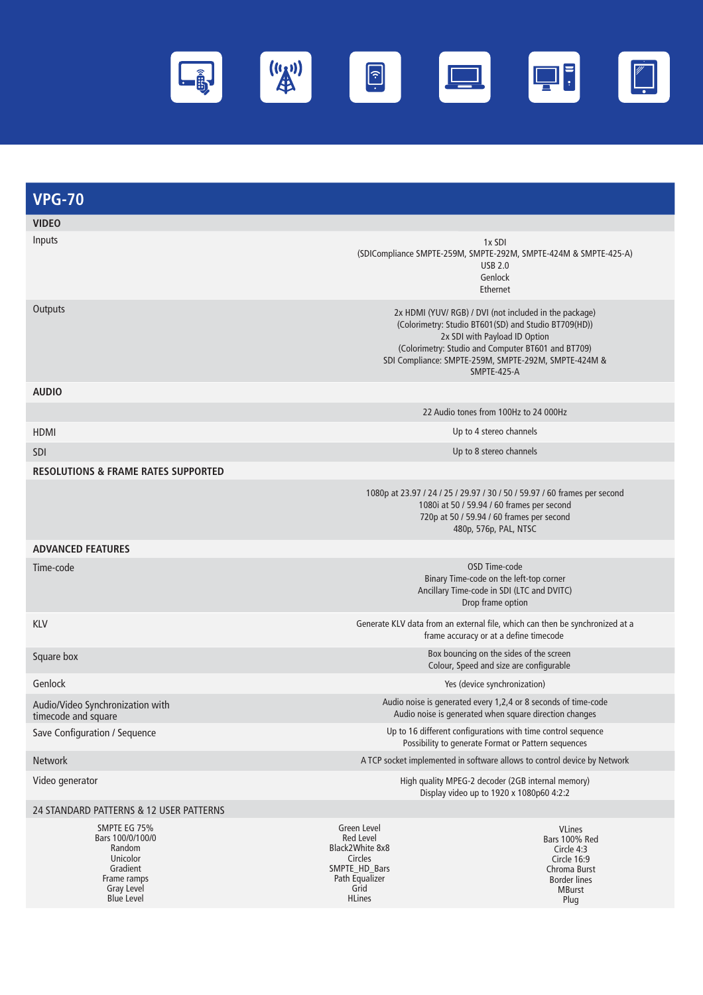

| <b>VPG-70</b>                                                                                   |                                                                                                                                                                                                                                                                              |  |
|-------------------------------------------------------------------------------------------------|------------------------------------------------------------------------------------------------------------------------------------------------------------------------------------------------------------------------------------------------------------------------------|--|
| <b>VIDEO</b>                                                                                    |                                                                                                                                                                                                                                                                              |  |
| Inputs                                                                                          | 1x SDI<br>(SDICompliance SMPTE-259M, SMPTE-292M, SMPTE-424M & SMPTE-425-A)<br><b>USB 2.0</b><br>Genlock<br>Ethernet                                                                                                                                                          |  |
| Outputs                                                                                         | 2x HDMI (YUV/ RGB) / DVI (not included in the package)<br>(Colorimetry: Studio BT601(SD) and Studio BT709(HD))<br>2x SDI with Payload ID Option<br>(Colorimetry: Studio and Computer BT601 and BT709)<br>SDI Compliance: SMPTE-259M, SMPTE-292M, SMPTE-424M &<br>SMPTE-425-A |  |
| <b>AUDIO</b>                                                                                    |                                                                                                                                                                                                                                                                              |  |
|                                                                                                 | 22 Audio tones from 100Hz to 24 000Hz                                                                                                                                                                                                                                        |  |
| <b>HDMI</b>                                                                                     | Up to 4 stereo channels                                                                                                                                                                                                                                                      |  |
| SDI                                                                                             | Up to 8 stereo channels                                                                                                                                                                                                                                                      |  |
| <b>RESOLUTIONS &amp; FRAME RATES SUPPORTED</b>                                                  |                                                                                                                                                                                                                                                                              |  |
|                                                                                                 | 1080p at 23.97 / 24 / 25 / 29.97 / 30 / 50 / 59.97 / 60 frames per second<br>1080i at 50 / 59.94 / 60 frames per second<br>720p at 50 / 59.94 / 60 frames per second<br>480p, 576p, PAL, NTSC                                                                                |  |
| <b>ADVANCED FEATURES</b>                                                                        |                                                                                                                                                                                                                                                                              |  |
| Time-code                                                                                       | OSD Time-code<br>Binary Time-code on the left-top corner<br>Ancillary Time-code in SDI (LTC and DVITC)<br>Drop frame option                                                                                                                                                  |  |
| <b>KLV</b>                                                                                      | Generate KLV data from an external file, which can then be synchronized at a<br>frame accuracy or at a define timecode                                                                                                                                                       |  |
| Square box                                                                                      | Box bouncing on the sides of the screen<br>Colour, Speed and size are configurable                                                                                                                                                                                           |  |
| Genlock                                                                                         | Yes (device synchronization)                                                                                                                                                                                                                                                 |  |
| Audio/Video Synchronization with<br>timecode and square                                         | Audio noise is generated every 1,2,4 or 8 seconds of time-code<br>Audio noise is generated when square direction changes                                                                                                                                                     |  |
| Save Configuration / Sequence                                                                   | Up to 16 different configurations with time control sequence<br>Possibility to generate Format or Pattern sequences                                                                                                                                                          |  |
| Network                                                                                         | A TCP socket implemented in software allows to control device by Network                                                                                                                                                                                                     |  |
| Video generator                                                                                 | High quality MPEG-2 decoder (2GB internal memory)<br>Display video up to 1920 x 1080p60 4:2:2                                                                                                                                                                                |  |
| 24 STANDARD PATTERNS & 12 USER PATTERNS                                                         |                                                                                                                                                                                                                                                                              |  |
| SMPTE EG 75%<br>Bars 100/0/100/0<br>Random<br>Unicolor<br>Gradient<br>Frame ramps<br>Gray Level | Green Level<br><b>VLines</b><br>Red Level<br>Bars 100% Red<br>Black2White 8x8<br>Circle 4:3<br>Circles<br>Circle 16:9<br>SMPTE_HD_Bars<br>Chroma Burst<br>Path Equalizer<br><b>Border lines</b><br>Grid<br><b>MBurst</b>                                                     |  |

HLines

Plug

Blue Level